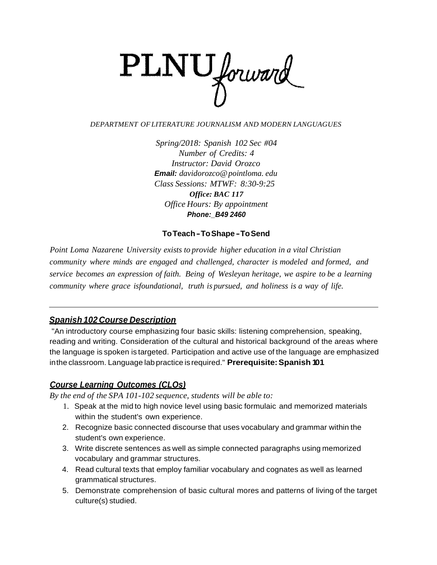

#### *DEPARTMENT OFLITERATURE JOURNALISM AND MODERN LANGUAGUES*

*Spring/2018: Spanish 102 Sec #04 Number of Credits: 4 Instructor: David Orozco Email: davidorozco@pointloma. edu Class Sessions: MTWF: 8:30-9:25 Office: BAC 117 Office Hours: By appointment Phone:\_B49 2460*

#### **ToTeach-ToShape -ToSend**

*Point Loma Nazarene University exists to provide higher education in a vital Christian community where minds are engaged and challenged, character is modeled and formed, and service becomes an expression of faith. Being of Wesleyan heritage, we aspire to be a learning community where grace isfoundational, truth is pursued, and holiness is a way of life.*

### *Spanish 102 Course Description*

"An introductory course emphasizing four basic skills: listening comprehension, speaking, reading and writing. Consideration of the cultural and historical background of the areas where the language is spoken is targeted. Participation and active use of the language are emphasized inthe classroom. Language lab practice is required." **Prerequisite:Spanish 101**

### *Course Learning Outcomes (CLOs)*

*By the end of the SPA 101-102 sequence, students will be able to:*

- 1. Speak at the mid to high novice level using basic formulaic and memorized materials within the student's own experience.
- 2. Recognize basic connected discourse that uses vocabulary and grammar within the student's own experience.
- 3. Write discrete sentences as well as simple connected paragraphs using memorized vocabulary and grammar structures.
- 4. Read cultural texts that employ familiar vocabulary and cognates as well as learned grammatical structures.
- 5. Demonstrate comprehension of basic cultural mores and patterns of living of the target culture(s) studied.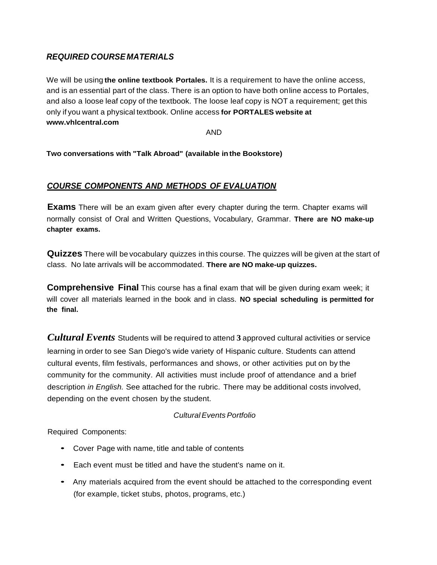# *REQUIRED COURSE MATERIALS*

We will be using **the online textbook Portales.** It is a requirement to have the online access, and is an essential part of the class. There is an option to have both online access to Portales, and also a loose leaf copy of the textbook. The loose leaf copy is NOT a requirement; get this only if you want a physical textbook. Online access **for PORTALES website at [www.vhlcentral.com](http://www.vhlcentral.com/)**

AND

**Two conversations with "Talk Abroad" (available inthe Bookstore)**

## *COURSE COMPONENTS AND METHODS OF EVALUATION*

**Exams** There will be an exam given after every chapter during the term. Chapter exams will normally consist of Oral and Written Questions, Vocabulary, Grammar. **There are NO make-up chapter exams.**

**Quizzes** There will be vocabulary quizzes in this course. The quizzes will be given at the start of class. No late arrivals will be accommodated. **There are NO make-up quizzes.**

**Comprehensive Final** This course has a final exam that will be given during exam week; it will cover all materials learned in the book and in class. **NO special scheduling is permitted for the final.**

*Cultural Events* Students will be required to attend **3** approved cultural activities or service learning in order to see San Diego's wide variety of Hispanic culture. Students can attend cultural events, film festivals, performances and shows, or other activities put on by the community for the community. All activities must include proof of attendance and a brief description *in English.* See attached for the rubric. There may be additional costs involved, depending on the event chosen by the student.

### *CulturalEvents Portfolio*

Required Components:

- Cover Page with name, title and table of contents
- Each event must be titled and have the student's name on it.
- Any materials acquired from the event should be attached to the corresponding event (for example, ticket stubs, photos, programs, etc.)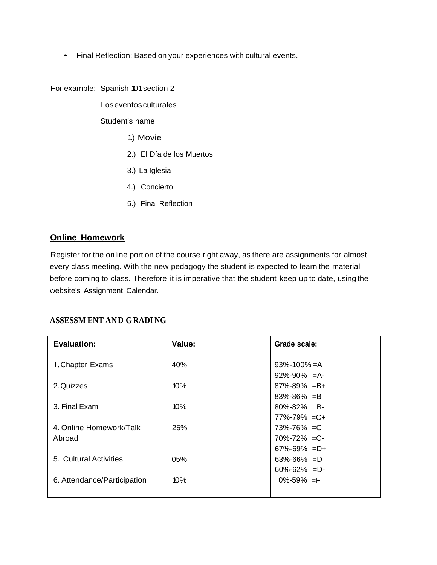• Final Reflection: Based on your experiences with cultural events.

For example: Spanish 101section 2

Loseventos culturales

Student's name

- 1.) Movie
- 2.) El Dfa de los Muertos
- 3.) La Iglesia
- 4.) Concierto
- 5.) Final Reflection

## **Online Homework**

Register for the online portion of the course right away, as there are assignments for almost every class meeting. With the new pedagogy the student is expected to learn the material before coming to class. Therefore it is imperative that the student keep up to date, using the website's Assignment Calendar.

# **ASSESSM ENT AND GRADI NG**

| <b>Evaluation:</b>          | Value:     | Grade scale:        |
|-----------------------------|------------|---------------------|
| 1. Chapter Exams            | 40%        | $93\% - 100\% = A$  |
|                             |            | $92\% - 90\% = A$   |
| 2. Quizzes                  | 10%        | $87\% - 89\% = B +$ |
|                             |            | $83\% - 86\% = B$   |
| 3. Final Exam               | 10%        | $80\% - 82\% = B$   |
|                             |            | $77\% - 79\% = C +$ |
| 4. Online Homework/Talk     | <b>25%</b> | $73\% - 76\% = C$   |
| Abroad                      |            | $70\% - 72\% = C$   |
|                             |            | $67\% - 69\% = D +$ |
| 5. Cultural Activities      | 05%        | $63\% - 66\% = D$   |
|                             |            | $60\% - 62\% = D$   |
| 6. Attendance/Participation | 10%        | $0\% - 59\% = F$    |
|                             |            |                     |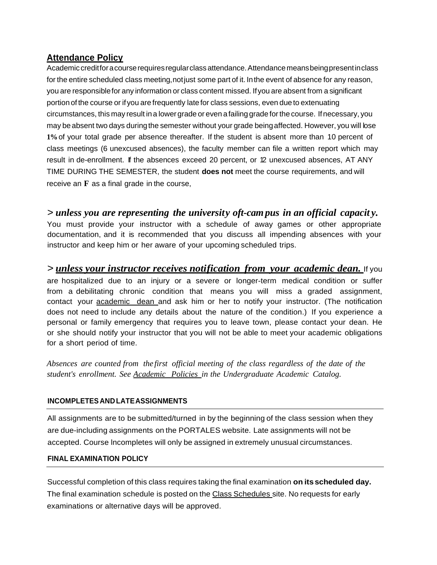## **Attendance Policy**

Academic creditfor a course requires regular class attendance. Attendance means being present in class for the entire scheduled class meeting, not just some part of it. In the event of absence for any reason, you are responsiblefor any information or class content missed. Ifyou are absent from a significant portion of the course or ifyou are frequently late for class sessions, even dueto extenuating circumstances, this may result ina lowergrade or even afailing grade forthe course. Ifnecessary, you may be absent two days during the semester without your grade being affected. However, you will lose **1%**of your total grade per absence thereafter. If the student is absent more than 10 percent of class meetings (6 unexcused absences), the faculty member can file a written report which may result in de-enrollment. If the absences exceed 20 percent, or 12 unexcused absences, AT ANY TIME DURING THE SEMESTER, the student **does not** meet the course requirements, and will receive an **F** as a final grade in the course,

# > *unless you are representing the university oft-campus in an official capacit y.*

You must provide your instructor with a schedule of away games or other appropriate documentation, and it is recommended that you discuss all impending absences with your instructor and keep him or her aware of your upcoming scheduled trips.

> *unless your instructor receives notification from your academic dean.* If you are hospitalized due to an injury or a severe or longer-term medical condition or suffer from a debilitating chronic condition that means you will miss a graded assignment, contact your **academic** dean and ask him or her to notify your instructor. (The notification does not need to include any details about the nature of the condition.) If you experience a personal or family emergency that requires you to leave town, please contact your dean. He or she should notify your instructor that you will not be able to meet your academic obligations for a short period of time.

*Absences are counted from the first official meeting of the class regardless of the date of the student's enrollment. See Academic Policies in the Undergraduate Academic Catalog.*

### **INCOMPLETES AND LATEASSIGNMENTS**

All assignments are to be submitted/turned in by the beginning of the class session when they are due-including assignments on the PORTALES website. Late assignments will not be accepted. Course lncompletes will only be assigned in extremely unusual circumstances.

### **FINAL EXAMINATION POLICY**

Successful completion of this class requires taking the final examination **on itsscheduled day.** The final examination schedule is posted on the Class Schedules site. No requests for early examinations or alternative days will be approved.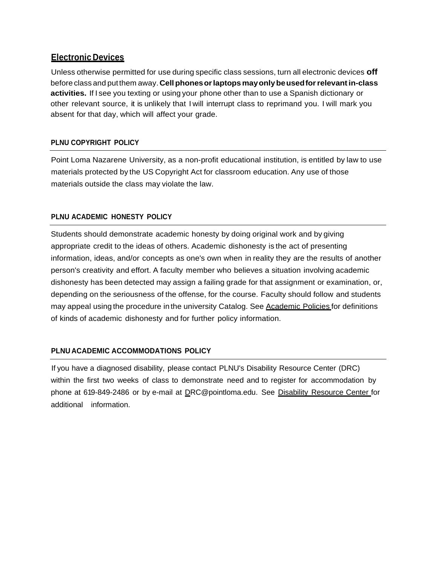### **Electronic Devices**

Unless otherwise permitted for use during specific class sessions, turn all electronic devices **off** before class and putthem away. **Cellphonesorlaptopsmayonlybeusedforrelevantin-class activities.** If I see you texting or using your phone other than to use a Spanish dictionary or other relevant source, it is unlikely that I will interrupt class to reprimand you. I will mark you absent for that day, which will affect your grade.

### **PLNU COPYRIGHT POLICY**

Point Loma Nazarene University, as a non-profit educational institution, is entitled by law to use materials protected by the US Copyright Act for classroom education. Any use of those materials outside the class may violate the law.

### **PLNU ACADEMIC HONESTY POLICY**

Students should demonstrate academic honesty by doing original work and by giving appropriate credit to the ideas of others. Academic dishonesty is the act of presenting information, ideas, and/or concepts as one's own when in reality they are the results of another person's creativity and effort. A faculty member who believes a situation involving academic dishonesty has been detected may assign a failing grade for that assignment or examination, or, depending on the seriousness of the offense, for the course. Faculty should follow and students may appeal using the procedure in the university Catalog. See Academic Policies for definitions of kinds of academic dishonesty and for further policy information.

### **PLNU ACADEMIC ACCOMMODATIONS POLICY**

If you have a diagnosed disability, please contact PLNU's Disability Resource Center (DRC) within the first two weeks of class to demonstrate need and to register for accommodation by phone at 619-849-2486 or by e-mail at [DRC@pointloma.edu.](mailto:DRC@pointloma.edu) See Disability Resource Center for additional information.